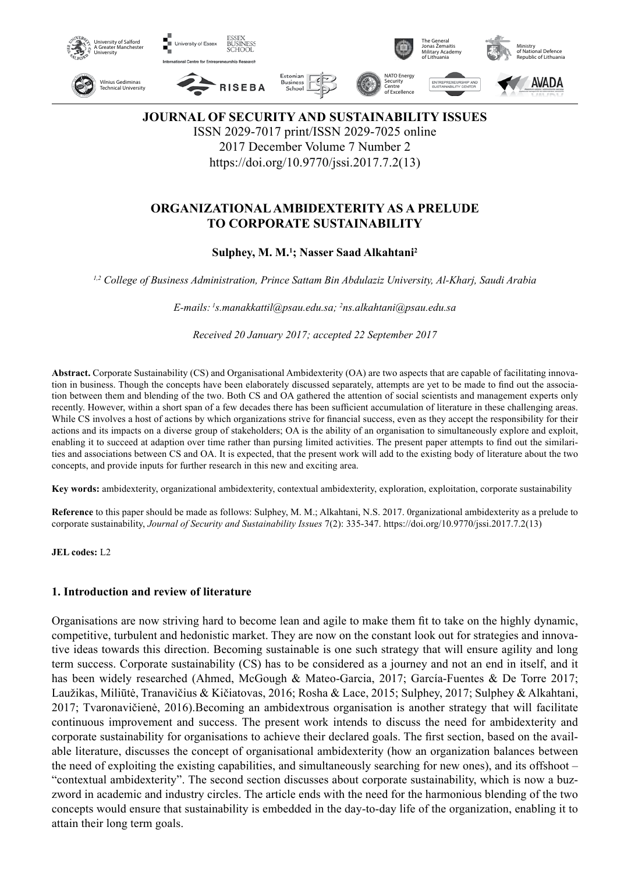

**JOURNAL OF SECURITY AND SUSTAINABILITY ISSUES**

ISSN 2029-7017 print/ISSN 2029-7025 online 2017 December Volume 7 Number 2

https://doi.org/10.9770/jssi.2017.7.2(13)

# **ORGANIZATIONAL AMBIDEXTERITY AS A PRELUDE TO CORPORATE SUSTAINABILITY**

# **Sulphey, M. M.1 ; Nasser Saad Alkahtani2**

*1,2 College of Business Administration, Prince Sattam Bin Abdulaziz University, Al-Kharj, Saudi Arabia*

*E-mails: 1s.manakkattil@psau.edu.sa; 2 ns.alkahtani@psau.edu.sa*

*Received 20 January 2017; accepted 22 September 2017*

**Abstract.** Corporate Sustainability (CS) and Organisational Ambidexterity (OA) are two aspects that are capable of facilitating innovation in business. Though the concepts have been elaborately discussed separately, attempts are yet to be made to find out the association between them and blending of the two. Both CS and OA gathered the attention of social scientists and management experts only recently. However, within a short span of a few decades there has been sufficient accumulation of literature in these challenging areas. While CS involves a host of actions by which organizations strive for financial success, even as they accept the responsibility for their actions and its impacts on a diverse group of stakeholders; OA is the ability of an organisation to simultaneously explore and exploit, enabling it to succeed at adaption over time rather than pursing limited activities. The present paper attempts to find out the similarities and associations between CS and OA. It is expected, that the present work will add to the existing body of literature about the two concepts, and provide inputs for further research in this new and exciting area.

**Key words:** ambidexterity, organizational ambidexterity, contextual ambidexterity, exploration, exploitation, corporate sustainability

**Reference** to this paper should be made as follows: Sulphey, M. M.; Alkahtani, N.S. 2017. 0rganizational ambidexterity as a prelude to corporate sustainability, *Journal of Security and Sustainability Issues* 7(2): 335-347. https://doi.org/10.9770/jssi.2017.7.2(13)

**JEL codes:** L2

#### **1. Introduction and review of literature**

Organisations are now striving hard to become lean and agile to make them fit to take on the highly dynamic, competitive, turbulent and hedonistic market. They are now on the constant look out for strategies and innovative ideas towards this direction. Becoming sustainable is one such strategy that will ensure agility and long term success. Corporate sustainability (CS) has to be considered as a journey and not an end in itself, and it has been widely researched (Ahmed, McGough & Mateo-Garcia, 2017; García-Fuentes & De Torre 2017; Laužikas, Miliūtė, Tranavičius & Kičiatovas, 2016; Rosha & Lace, 2015; Sulphey, 2017; Sulphey & Alkahtani, 2017; Tvaronavičienė, 2016).Becoming an ambidextrous organisation is another strategy that will facilitate continuous improvement and success. The present work intends to discuss the need for ambidexterity and corporate sustainability for organisations to achieve their declared goals. The first section, based on the available literature, discusses the concept of organisational ambidexterity (how an organization balances between the need of exploiting the existing capabilities, and simultaneously searching for new ones), and its offshoot – "contextual ambidexterity". The second section discusses about corporate sustainability, which is now a buzzword in academic and industry circles. The article ends with the need for the harmonious blending of the two concepts would ensure that sustainability is embedded in the day-to-day life of the organization, enabling it to attain their long term goals.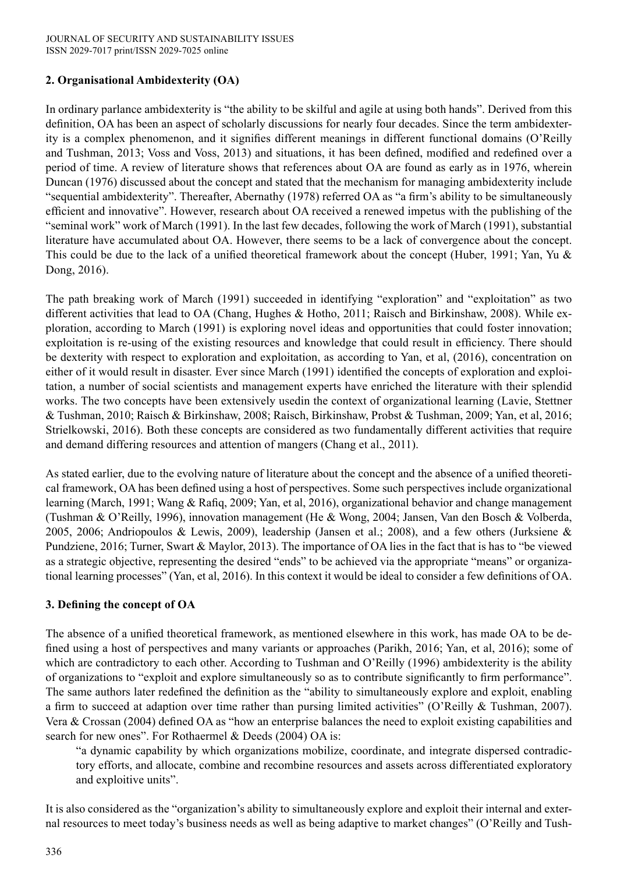# **2. Organisational Ambidexterity (OA)**

In ordinary parlance ambidexterity is "the ability to be skilful and agile at using both hands". Derived from this definition, OA has been an aspect of scholarly discussions for nearly four decades. Since the term ambidexterity is a complex phenomenon, and it signifies different meanings in different functional domains (O'Reilly and Tushman, 2013; Voss and Voss, 2013) and situations, it has been defined, modified and redefined over a period of time. A review of literature shows that references about OA are found as early as in 1976, wherein Duncan (1976) discussed about the concept and stated that the mechanism for managing ambidexterity include "sequential ambidexterity". Thereafter, Abernathy (1978) referred OA as "a firm's ability to be simultaneously efficient and innovative". However, research about OA received a renewed impetus with the publishing of the "seminal work" work of March (1991). In the last few decades, following the work of March (1991), substantial literature have accumulated about OA. However, there seems to be a lack of convergence about the concept. This could be due to the lack of a unified theoretical framework about the concept (Huber, 1991; Yan, Yu & Dong, 2016).

The path breaking work of March (1991) succeeded in identifying "exploration" and "exploitation" as two different activities that lead to OA (Chang, Hughes & Hotho, 2011; Raisch and Birkinshaw, 2008). While exploration, according to March (1991) is exploring novel ideas and opportunities that could foster innovation; exploitation is re-using of the existing resources and knowledge that could result in efficiency. There should be dexterity with respect to exploration and exploitation, as according to Yan, et al, (2016), concentration on either of it would result in disaster. Ever since March (1991) identified the concepts of exploration and exploitation, a number of social scientists and management experts have enriched the literature with their splendid works. The two concepts have been extensively usedin the context of organizational learning (Lavie, Stettner & Tushman, 2010; Raisch & Birkinshaw, 2008; Raisch, Birkinshaw, Probst & Tushman, 2009; Yan, et al, 2016; Strielkowski, 2016). Both these concepts are considered as two fundamentally different activities that require and demand differing resources and attention of mangers (Chang et al., 2011).

As stated earlier, due to the evolving nature of literature about the concept and the absence of a unified theoretical framework, OA has been defined using a host of perspectives. Some such perspectives include organizational learning (March, 1991; Wang & Rafiq, 2009; Yan, et al, 2016), organizational behavior and change management (Tushman & O'Reilly, 1996), innovation management (He & Wong, 2004; Jansen, Van den Bosch & Volberda, 2005, 2006; Andriopoulos & Lewis, 2009), leadership (Jansen et al.; 2008), and a few others (Jurksiene & Pundziene, 2016; Turner, Swart & Maylor, 2013). The importance of OA lies in the fact that is has to "be viewed as a strategic objective, representing the desired "ends" to be achieved via the appropriate "means" or organizational learning processes" (Yan, et al, 2016). In this context it would be ideal to consider a few definitions of OA.

## **3. Defining the concept of OA**

The absence of a unified theoretical framework, as mentioned elsewhere in this work, has made OA to be defined using a host of perspectives and many variants or approaches (Parikh, 2016; Yan, et al, 2016); some of which are contradictory to each other. According to Tushman and O'Reilly (1996) ambidexterity is the ability of organizations to "exploit and explore simultaneously so as to contribute significantly to firm performance". The same authors later redefined the definition as the "ability to simultaneously explore and exploit, enabling a firm to succeed at adaption over time rather than pursing limited activities" (O'Reilly  $\&$  Tushman, 2007). Vera & Crossan (2004) defined OA as "how an enterprise balances the need to exploit existing capabilities and search for new ones". For Rothaermel & Deeds (2004) OA is:

"a dynamic capability by which organizations mobilize, coordinate, and integrate dispersed contradictory efforts, and allocate, combine and recombine resources and assets across differentiated exploratory and exploitive units".

It is also considered as the "organization's ability to simultaneously explore and exploit their internal and external resources to meet today's business needs as well as being adaptive to market changes" (O'Reilly and Tush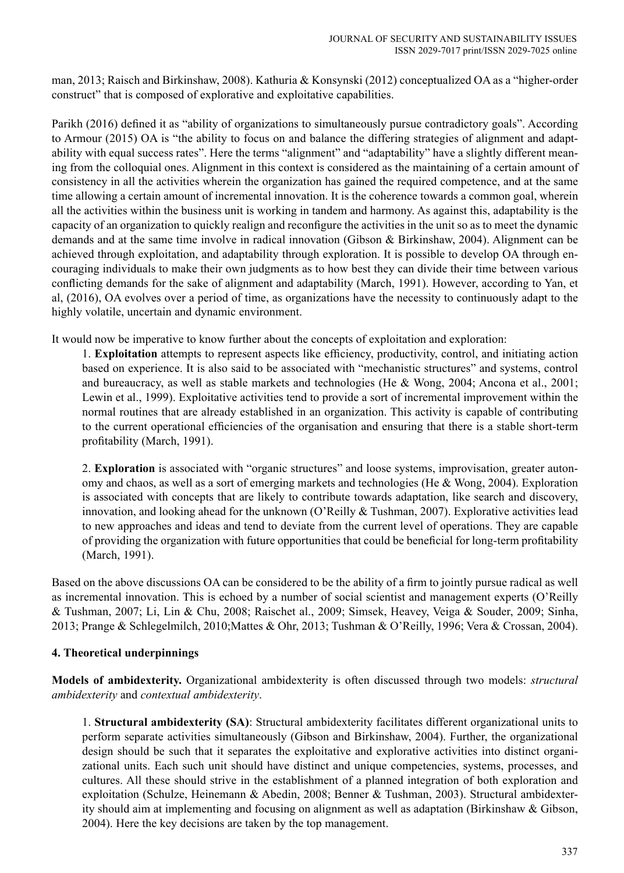man, 2013; Raisch and Birkinshaw, 2008). Kathuria & Konsynski (2012) conceptualized OA as a "higher-order construct" that is composed of explorative and exploitative capabilities.

Parikh (2016) defined it as "ability of organizations to simultaneously pursue contradictory goals". According to Armour (2015) OA is "the ability to focus on and balance the differing strategies of alignment and adaptability with equal success rates". Here the terms "alignment" and "adaptability" have a slightly different meaning from the colloquial ones. Alignment in this context is considered as the maintaining of a certain amount of consistency in all the activities wherein the organization has gained the required competence, and at the same time allowing a certain amount of incremental innovation. It is the coherence towards a common goal, wherein all the activities within the business unit is working in tandem and harmony. As against this, adaptability is the capacity of an organization to quickly realign and reconfigure the activities in the unit so as to meet the dynamic demands and at the same time involve in radical innovation (Gibson & Birkinshaw, 2004). Alignment can be achieved through exploitation, and adaptability through exploration. It is possible to develop OA through encouraging individuals to make their own judgments as to how best they can divide their time between various conflicting demands for the sake of alignment and adaptability (March, 1991). However, according to Yan, et al, (2016), OA evolves over a period of time, as organizations have the necessity to continuously adapt to the highly volatile, uncertain and dynamic environment.

It would now be imperative to know further about the concepts of exploitation and exploration:

1. **Exploitation** attempts to represent aspects like efficiency, productivity, control, and initiating action based on experience. It is also said to be associated with "mechanistic structures" and systems, control and bureaucracy, as well as stable markets and technologies (He & Wong, 2004; Ancona et al., 2001; Lewin et al., 1999). Exploitative activities tend to provide a sort of incremental improvement within the normal routines that are already established in an organization. This activity is capable of contributing to the current operational efficiencies of the organisation and ensuring that there is a stable short-term profitability (March, 1991).

2. **Exploration** is associated with "organic structures" and loose systems, improvisation, greater autonomy and chaos, as well as a sort of emerging markets and technologies (He & Wong, 2004). Exploration is associated with concepts that are likely to contribute towards adaptation, like search and discovery, innovation, and looking ahead for the unknown (O'Reilly & Tushman, 2007). Explorative activities lead to new approaches and ideas and tend to deviate from the current level of operations. They are capable of providing the organization with future opportunities that could be beneficial for long-term profitability (March, 1991).

Based on the above discussions OA can be considered to be the ability of a firm to jointly pursue radical as well as incremental innovation. This is echoed by a number of social scientist and management experts (O'Reilly & Tushman, 2007; Li, Lin & Chu, 2008; Raischet al., 2009; Simsek, Heavey, Veiga & Souder, 2009; Sinha, 2013; Prange & Schlegelmilch, 2010;Mattes & Ohr, 2013; Tushman & O'Reilly, 1996; Vera & Crossan, 2004).

## **4. Theoretical underpinnings**

**Models of ambidexterity.** Organizational ambidexterity is often discussed through two models: *structural ambidexterity* and *contextual ambidexterity*.

1. **Structural ambidexterity (SA)**: Structural ambidexterity facilitates different organizational units to perform separate activities simultaneously (Gibson and Birkinshaw, 2004). Further, the organizational design should be such that it separates the exploitative and explorative activities into distinct organizational units. Each such unit should have distinct and unique competencies, systems, processes, and cultures. All these should strive in the establishment of a planned integration of both exploration and exploitation (Schulze, Heinemann & Abedin, 2008; Benner & Tushman, 2003). Structural ambidexterity should aim at implementing and focusing on alignment as well as adaptation (Birkinshaw & Gibson, 2004). Here the key decisions are taken by the top management.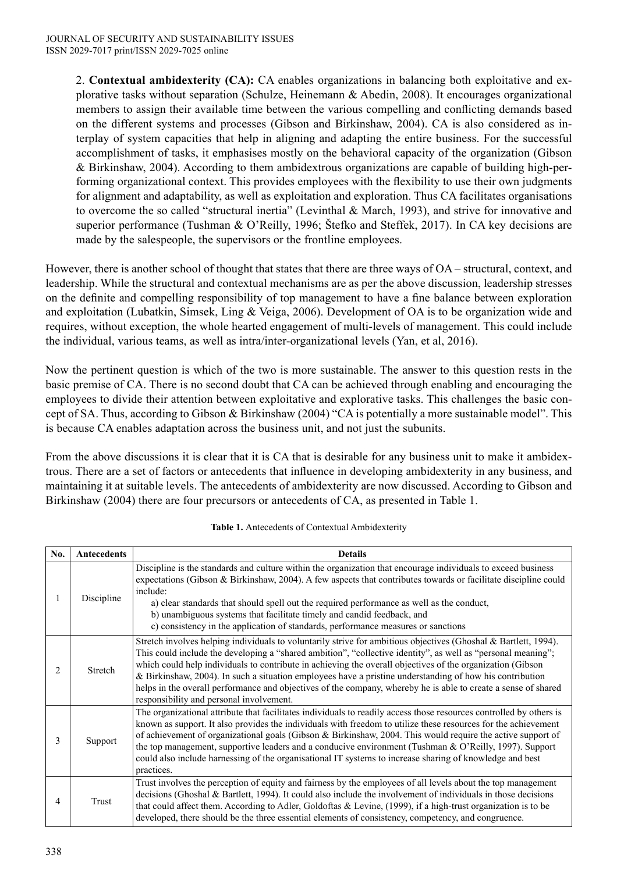2. **Contextual ambidexterity (CA):** CA enables organizations in balancing both exploitative and explorative tasks without separation (Schulze, Heinemann & Abedin, 2008). It encourages organizational members to assign their available time between the various compelling and conflicting demands based on the different systems and processes (Gibson and Birkinshaw, 2004). CA is also considered as interplay of system capacities that help in aligning and adapting the entire business. For the successful accomplishment of tasks, it emphasises mostly on the behavioral capacity of the organization (Gibson & Birkinshaw, 2004). According to them ambidextrous organizations are capable of building high-performing organizational context. This provides employees with the flexibility to use their own judgments for alignment and adaptability, as well as exploitation and exploration. Thus CA facilitates organisations to overcome the so called "structural inertia" (Levinthal & March, 1993), and strive for innovative and superior performance (Tushman & O'Reilly, 1996; Štefko and Steffek, 2017). In CA key decisions are made by the salespeople, the supervisors or the frontline employees.

However, there is another school of thought that states that there are three ways of OA – structural, context, and leadership. While the structural and contextual mechanisms are as per the above discussion, leadership stresses on the definite and compelling responsibility of top management to have a fine balance between exploration and exploitation (Lubatkin, Simsek, Ling & Veiga, 2006). Development of OA is to be organization wide and requires, without exception, the whole hearted engagement of multi-levels of management. This could include the individual, various teams, as well as intra/inter-organizational levels (Yan, et al, 2016).

Now the pertinent question is which of the two is more sustainable. The answer to this question rests in the basic premise of CA. There is no second doubt that CA can be achieved through enabling and encouraging the employees to divide their attention between exploitative and explorative tasks. This challenges the basic concept of SA. Thus, according to Gibson & Birkinshaw (2004) "CA is potentially a more sustainable model". This is because CA enables adaptation across the business unit, and not just the subunits.

From the above discussions it is clear that it is CA that is desirable for any business unit to make it ambidextrous. There are a set of factors or antecedents that influence in developing ambidexterity in any business, and maintaining it at suitable levels. The antecedents of ambidexterity are now discussed. According to Gibson and Birkinshaw (2004) there are four precursors or antecedents of CA, as presented in Table 1.

| No. | <b>Antecedents</b> | <b>Details</b>                                                                                                                                                                                                                                                                                                                                                                                                                                                                                                                                                                                                          |
|-----|--------------------|-------------------------------------------------------------------------------------------------------------------------------------------------------------------------------------------------------------------------------------------------------------------------------------------------------------------------------------------------------------------------------------------------------------------------------------------------------------------------------------------------------------------------------------------------------------------------------------------------------------------------|
|     | Discipline         | Discipline is the standards and culture within the organization that encourage individuals to exceed business<br>expectations (Gibson & Birkinshaw, 2004). A few aspects that contributes towards or facilitate discipline could<br>include:<br>a) clear standards that should spell out the required performance as well as the conduct,<br>b) unambiguous systems that facilitate timely and candid feedback, and<br>c) consistency in the application of standards, performance measures or sanctions                                                                                                                |
| 2   | Stretch            | Stretch involves helping individuals to voluntarily strive for ambitious objectives (Ghoshal & Bartlett, 1994).<br>This could include the developing a "shared ambition", "collective identity", as well as "personal meaning";<br>which could help individuals to contribute in achieving the overall objectives of the organization (Gibson<br>& Birkinshaw, 2004). In such a situation employees have a pristine understanding of how his contribution<br>helps in the overall performance and objectives of the company, whereby he is able to create a sense of shared<br>responsibility and personal involvement. |
| 3   | Support            | The organizational attribute that facilitates individuals to readily access those resources controlled by others is<br>known as support. It also provides the individuals with freedom to utilize these resources for the achievement<br>of achievement of organizational goals (Gibson & Birkinshaw, 2004. This would require the active support of<br>the top management, supportive leaders and a conducive environment (Tushman & O'Reilly, 1997). Support<br>could also include harnessing of the organisational IT systems to increase sharing of knowledge and best<br>practices.                                |
| 4   | Trust              | Trust involves the perception of equity and fairness by the employees of all levels about the top management<br>decisions (Ghoshal & Bartlett, 1994). It could also include the involvement of individuals in those decisions<br>that could affect them. According to Adler, Goldoftas & Levine, (1999), if a high-trust organization is to be<br>developed, there should be the three essential elements of consistency, competency, and congruence.                                                                                                                                                                   |

**Table 1.** Antecedents of Contextual Ambidexterity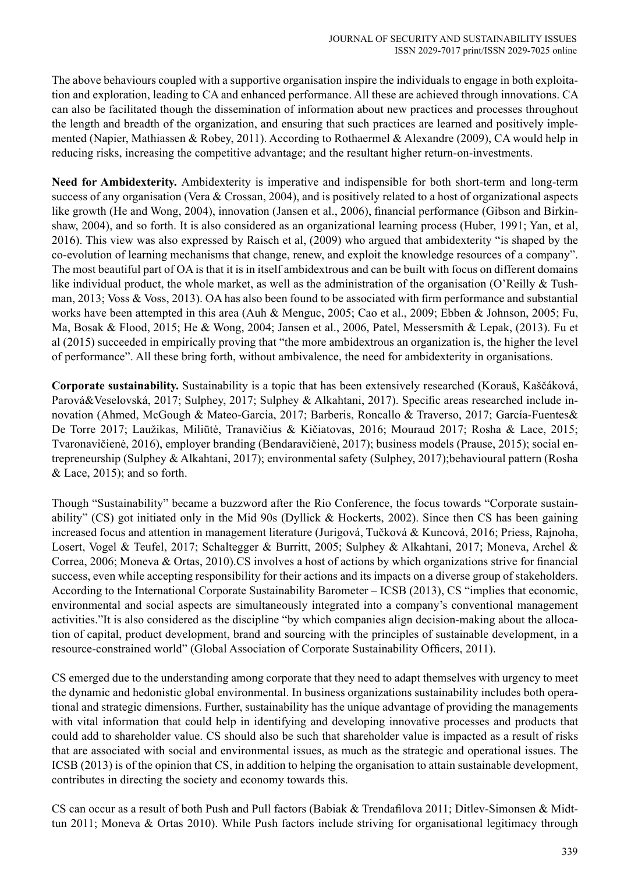The above behaviours coupled with a supportive organisation inspire the individuals to engage in both exploitation and exploration, leading to CA and enhanced performance. All these are achieved through innovations. CA can also be facilitated though the dissemination of information about new practices and processes throughout the length and breadth of the organization, and ensuring that such practices are learned and positively implemented (Napier, Mathiassen & Robey, 2011). According to Rothaermel & Alexandre (2009), CA would help in reducing risks, increasing the competitive advantage; and the resultant higher return-on-investments.

**Need for Ambidexterity.** Ambidexterity is imperative and indispensible for both short-term and long-term success of any organisation (Vera  $& Crossan, 2004$ ), and is positively related to a host of organizational aspects like growth (He and Wong, 2004), innovation (Jansen et al., 2006), financial performance (Gibson and Birkinshaw, 2004), and so forth. It is also considered as an organizational learning process (Huber, 1991; Yan, et al, 2016). This view was also expressed by Raisch et al, (2009) who argued that ambidexterity "is shaped by the co-evolution of learning mechanisms that change, renew, and exploit the knowledge resources of a company". The most beautiful part of OA is that it is in itself ambidextrous and can be built with focus on different domains like individual product, the whole market, as well as the administration of the organisation (O'Reilly & Tushman, 2013; Voss & Voss, 2013). OA has also been found to be associated with firm performance and substantial works have been attempted in this area (Auh & Menguc, 2005; Cao et al., 2009; Ebben & Johnson, 2005; Fu, Ma, Bosak & Flood, 2015; He & Wong, 2004; Jansen et al., 2006, Patel, Messersmith & Lepak, (2013). Fu et al (2015) succeeded in empirically proving that "the more ambidextrous an organization is, the higher the level of performance". All these bring forth, without ambivalence, the need for ambidexterity in organisations.

**Corporate sustainability.** Sustainability is a topic that has been extensively researched (Korauš, Kaščáková, Parová&Veselovská, 2017; Sulphey, 2017; Sulphey & Alkahtani, 2017). Specific areas researched include innovation (Ahmed, McGough & Mateo-Garcia, 2017; Barberis, Roncallo & Traverso, 2017; García-Fuentes& De Torre 2017; Laužikas, Miliūtė, Tranavičius & Kičiatovas, 2016; Mouraud 2017; Rosha & Lace, 2015; Tvaronavičienė, 2016), employer branding (Bendaravičienė, 2017); business models (Prause, 2015); social entrepreneurship (Sulphey & Alkahtani, 2017); environmental safety (Sulphey, 2017);behavioural pattern (Rosha  $& Lace, 2015$ ; and so forth.

Though "Sustainability" became a buzzword after the Rio Conference, the focus towards "Corporate sustainability" (CS) got initiated only in the Mid 90s (Dyllick & Hockerts, 2002). Since then CS has been gaining increased focus and attention in management literature (Jurigová, Tučková & Kuncová, 2016; Priess, Rajnoha, Losert, Vogel & Teufel, 2017; Schaltegger & Burritt, 2005; Sulphey & Alkahtani, 2017; Moneva, Archel & Correa, 2006; Moneva & Ortas, 2010).CS involves a host of actions by which organizations strive for financial success, even while accepting responsibility for their actions and its impacts on a diverse group of stakeholders. According to the International Corporate Sustainability Barometer – ICSB (2013), CS "implies that economic, environmental and social aspects are simultaneously integrated into a company's conventional management activities."It is also considered as the discipline "by which companies align decision-making about the allocation of capital, product development, brand and sourcing with the principles of sustainable development, in a resource-constrained world" (Global Association of Corporate Sustainability Officers, 2011).

CS emerged due to the understanding among corporate that they need to adapt themselves with urgency to meet the dynamic and hedonistic global environmental. In business organizations sustainability includes both operational and strategic dimensions. Further, sustainability has the unique advantage of providing the managements with vital information that could help in identifying and developing innovative processes and products that could add to shareholder value. CS should also be such that shareholder value is impacted as a result of risks that are associated with social and environmental issues, as much as the strategic and operational issues. The ICSB (2013) is of the opinion that CS, in addition to helping the organisation to attain sustainable development, contributes in directing the society and economy towards this.

CS can occur as a result of both Push and Pull factors (Babiak & Trendafilova 2011; Ditlev-Simonsen & Midttun 2011; Moneva & Ortas 2010). While Push factors include striving for organisational legitimacy through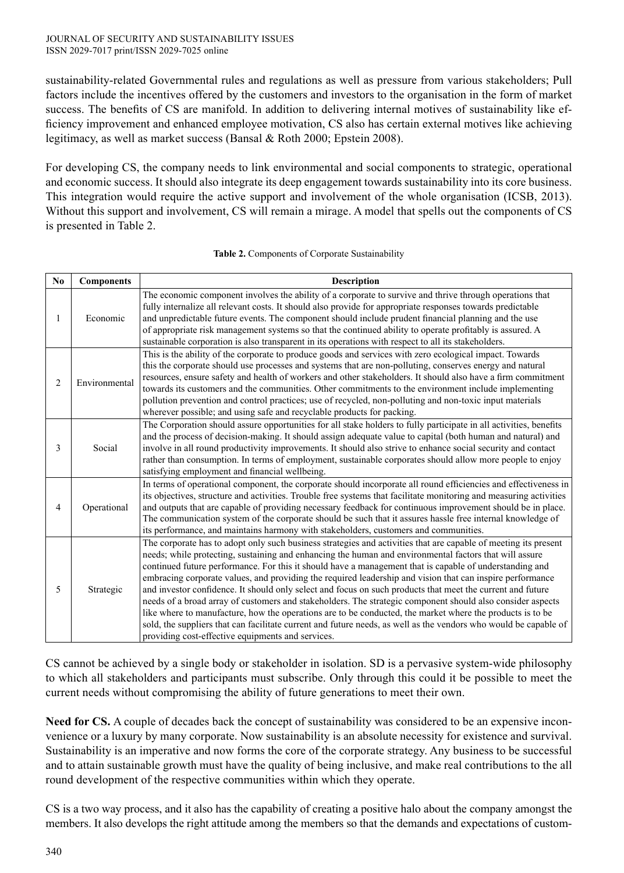sustainability-related Governmental rules and regulations as well as pressure from various stakeholders; Pull factors include the incentives offered by the customers and investors to the organisation in the form of market success. The benefits of CS are manifold. In addition to delivering internal motives of sustainability like efficiency improvement and enhanced employee motivation, CS also has certain external motives like achieving legitimacy, as well as market success (Bansal & Roth 2000; Epstein 2008).

For developing CS, the company needs to link environmental and social components to strategic, operational and economic success. It should also integrate its deep engagement towards sustainability into its core business. This integration would require the active support and involvement of the whole organisation (ICSB, 2013). Without this support and involvement, CS will remain a mirage. A model that spells out the components of CS is presented in Table 2.

| No             | <b>Components</b> | <b>Description</b>                                                                                                                                                                                                                                                                                                                                                                                                                                                                                                                                                                                                                                                                                                                                                                                                                                                                                                                                                  |
|----------------|-------------------|---------------------------------------------------------------------------------------------------------------------------------------------------------------------------------------------------------------------------------------------------------------------------------------------------------------------------------------------------------------------------------------------------------------------------------------------------------------------------------------------------------------------------------------------------------------------------------------------------------------------------------------------------------------------------------------------------------------------------------------------------------------------------------------------------------------------------------------------------------------------------------------------------------------------------------------------------------------------|
| 1              | Economic          | The economic component involves the ability of a corporate to survive and thrive through operations that<br>fully internalize all relevant costs. It should also provide for appropriate responses towards predictable<br>and unpredictable future events. The component should include prudent financial planning and the use<br>of appropriate risk management systems so that the continued ability to operate profitably is assured. A<br>sustainable corporation is also transparent in its operations with respect to all its stakeholders.                                                                                                                                                                                                                                                                                                                                                                                                                   |
| $\overline{2}$ | Environmental     | This is the ability of the corporate to produce goods and services with zero ecological impact. Towards<br>this the corporate should use processes and systems that are non-polluting, conserves energy and natural<br>resources, ensure safety and health of workers and other stakeholders. It should also have a firm commitment<br>towards its customers and the communities. Other commitments to the environment include implementing<br>pollution prevention and control practices; use of recycled, non-polluting and non-toxic input materials<br>wherever possible; and using safe and recyclable products for packing.                                                                                                                                                                                                                                                                                                                                   |
| 3              | Social            | The Corporation should assure opportunities for all stake holders to fully participate in all activities, benefits<br>and the process of decision-making. It should assign adequate value to capital (both human and natural) and<br>involve in all round productivity improvements. It should also strive to enhance social security and contact<br>rather than consumption. In terms of employment, sustainable corporates should allow more people to enjoy<br>satisfying employment and financial wellbeing.                                                                                                                                                                                                                                                                                                                                                                                                                                                    |
| 4              | Operational       | In terms of operational component, the corporate should incorporate all round efficiencies and effectiveness in<br>its objectives, structure and activities. Trouble free systems that facilitate monitoring and measuring activities<br>and outputs that are capable of providing necessary feedback for continuous improvement should be in place.<br>The communication system of the corporate should be such that it assures hassle free internal knowledge of<br>its performance, and maintains harmony with stakeholders, customers and communities.                                                                                                                                                                                                                                                                                                                                                                                                          |
| 5              | Strategic         | The corporate has to adopt only such business strategies and activities that are capable of meeting its present<br>needs; while protecting, sustaining and enhancing the human and environmental factors that will assure<br>continued future performance. For this it should have a management that is capable of understanding and<br>embracing corporate values, and providing the required leadership and vision that can inspire performance<br>and investor confidence. It should only select and focus on such products that meet the current and future<br>needs of a broad array of customers and stakeholders. The strategic component should also consider aspects<br>like where to manufacture, how the operations are to be conducted, the market where the products is to be<br>sold, the suppliers that can facilitate current and future needs, as well as the vendors who would be capable of<br>providing cost-effective equipments and services. |

**Table 2.** Components of Corporate Sustainability

CS cannot be achieved by a single body or stakeholder in isolation. SD is a pervasive system-wide philosophy to which all stakeholders and participants must subscribe. Only through this could it be possible to meet the current needs without compromising the ability of future generations to meet their own.

**Need for CS.** A couple of decades back the concept of sustainability was considered to be an expensive inconvenience or a luxury by many corporate. Now sustainability is an absolute necessity for existence and survival. Sustainability is an imperative and now forms the core of the corporate strategy. Any business to be successful and to attain sustainable growth must have the quality of being inclusive, and make real contributions to the all round development of the respective communities within which they operate.

CS is a two way process, and it also has the capability of creating a positive halo about the company amongst the members. It also develops the right attitude among the members so that the demands and expectations of custom-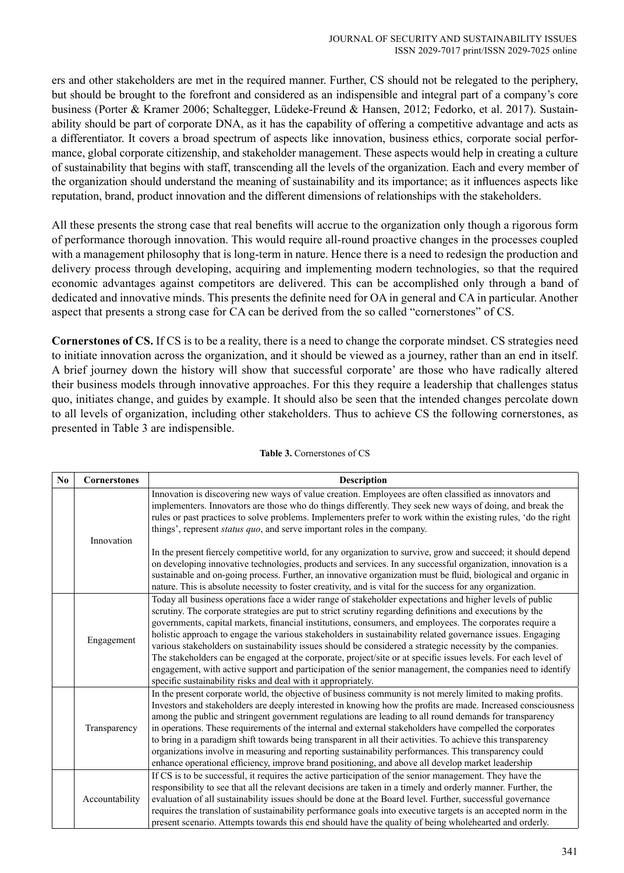ers and other stakeholders are met in the required manner. Further, CS should not be relegated to the periphery, but should be brought to the forefront and considered as an indispensible and integral part of a company's core business (Porter & Kramer 2006; Schaltegger, Lüdeke-Freund & Hansen, 2012; Fedorko, et al. 2017). Sustainability should be part of corporate DNA, as it has the capability of offering a competitive advantage and acts as a differentiator. It covers a broad spectrum of aspects like innovation, business ethics, corporate social performance, global corporate citizenship, and stakeholder management. These aspects would help in creating a culture of sustainability that begins with staff, transcending all the levels of the organization. Each and every member of the organization should understand the meaning of sustainability and its importance; as it influences aspects like reputation, brand, product innovation and the different dimensions of relationships with the stakeholders.

All these presents the strong case that real benefits will accrue to the organization only though a rigorous form of performance thorough innovation. This would require all-round proactive changes in the processes coupled with a management philosophy that is long-term in nature. Hence there is a need to redesign the production and delivery process through developing, acquiring and implementing modern technologies, so that the required economic advantages against competitors are delivered. This can be accomplished only through a band of dedicated and innovative minds. This presents the definite need for OA in general and CA in particular. Another aspect that presents a strong case for CA can be derived from the so called "cornerstones" of CS.

**Cornerstones of CS.** If CS is to be a reality, there is a need to change the corporate mindset. CS strategies need to initiate innovation across the organization, and it should be viewed as a journey, rather than an end in itself. A brief journey down the history will show that successful corporate' are those who have radically altered their business models through innovative approaches. For this they require a leadership that challenges status quo, initiates change, and guides by example. It should also be seen that the intended changes percolate down to all levels of organization, including other stakeholders. Thus to achieve CS the following cornerstones, as presented in Table 3 are indispensible.

| $\mathbf{N}\mathbf{0}$ | Cornerstones   | <b>Description</b>                                                                                                                                                                                                                                                                                                                                                                                                                                                                                                                                                                                                                                                                                                                                                                                                                                             |
|------------------------|----------------|----------------------------------------------------------------------------------------------------------------------------------------------------------------------------------------------------------------------------------------------------------------------------------------------------------------------------------------------------------------------------------------------------------------------------------------------------------------------------------------------------------------------------------------------------------------------------------------------------------------------------------------------------------------------------------------------------------------------------------------------------------------------------------------------------------------------------------------------------------------|
|                        | Innovation     | Innovation is discovering new ways of value creation. Employees are often classified as innovators and<br>implementers. Innovators are those who do things differently. They seek new ways of doing, and break the<br>rules or past practices to solve problems. Implementers prefer to work within the existing rules, 'do the right<br>things', represent <i>status quo</i> , and serve important roles in the company.<br>In the present fiercely competitive world, for any organization to survive, grow and succeed; it should depend<br>on developing innovative technologies, products and services. In any successful organization, innovation is a<br>sustainable and on-going process. Further, an innovative organization must be fluid, biological and organic in                                                                                 |
|                        |                | nature. This is absolute necessity to foster creativity, and is vital for the success for any organization.                                                                                                                                                                                                                                                                                                                                                                                                                                                                                                                                                                                                                                                                                                                                                    |
|                        | Engagement     | Today all business operations face a wider range of stakeholder expectations and higher levels of public<br>scrutiny. The corporate strategies are put to strict scrutiny regarding definitions and executions by the<br>governments, capital markets, financial institutions, consumers, and employees. The corporates require a<br>holistic approach to engage the various stakeholders in sustainability related governance issues. Engaging<br>various stakeholders on sustainability issues should be considered a strategic necessity by the companies.<br>The stakeholders can be engaged at the corporate, project/site or at specific issues levels. For each level of<br>engagement, with active support and participation of the senior management, the companies need to identify<br>specific sustainability risks and deal with it appropriately. |
|                        | Transparency   | In the present corporate world, the objective of business community is not merely limited to making profits.<br>Investors and stakeholders are deeply interested in knowing how the profits are made. Increased consciousness<br>among the public and stringent government regulations are leading to all round demands for transparency<br>in operations. These requirements of the internal and external stakeholders have compelled the corporates<br>to bring in a paradigm shift towards being transparent in all their activities. To achieve this transparency<br>organizations involve in measuring and reporting sustainability performances. This transparency could<br>enhance operational efficiency, improve brand positioning, and above all develop market leadership                                                                           |
|                        | Accountability | If CS is to be successful, it requires the active participation of the senior management. They have the<br>responsibility to see that all the relevant decisions are taken in a timely and orderly manner. Further, the<br>evaluation of all sustainability issues should be done at the Board level. Further, successful governance<br>requires the translation of sustainability performance goals into executive targets is an accepted norm in the<br>present scenario. Attempts towards this end should have the quality of being wholehearted and orderly.                                                                                                                                                                                                                                                                                               |

#### **Table 3.** Cornerstones of CS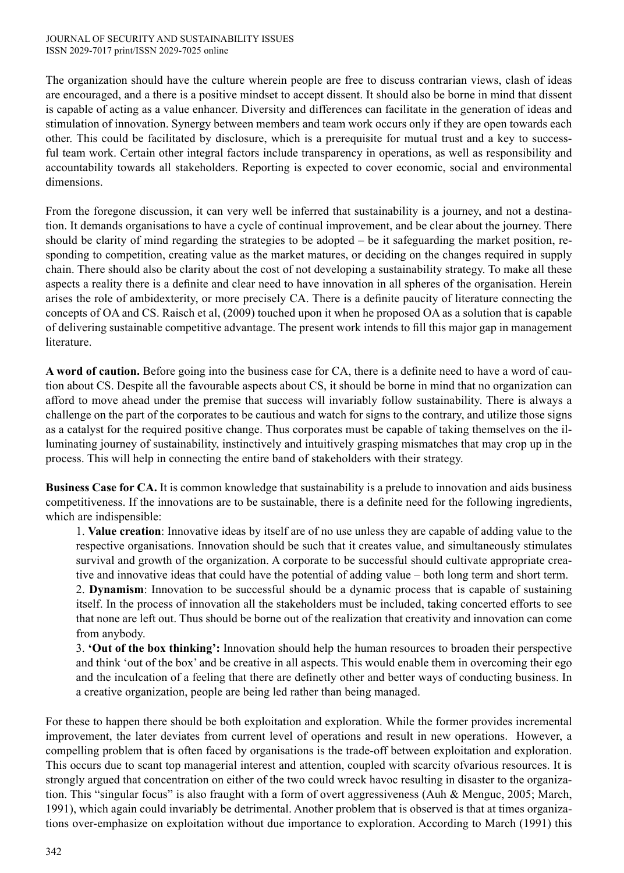The organization should have the culture wherein people are free to discuss contrarian views, clash of ideas are encouraged, and a there is a positive mindset to accept dissent. It should also be borne in mind that dissent is capable of acting as a value enhancer. Diversity and differences can facilitate in the generation of ideas and stimulation of innovation. Synergy between members and team work occurs only if they are open towards each other. This could be facilitated by disclosure, which is a prerequisite for mutual trust and a key to successful team work. Certain other integral factors include transparency in operations, as well as responsibility and accountability towards all stakeholders. Reporting is expected to cover economic, social and environmental dimensions.

From the foregone discussion, it can very well be inferred that sustainability is a journey, and not a destination. It demands organisations to have a cycle of continual improvement, and be clear about the journey. There should be clarity of mind regarding the strategies to be adopted – be it safeguarding the market position, responding to competition, creating value as the market matures, or deciding on the changes required in supply chain. There should also be clarity about the cost of not developing a sustainability strategy. To make all these aspects a reality there is a definite and clear need to have innovation in all spheres of the organisation. Herein arises the role of ambidexterity, or more precisely CA. There is a definite paucity of literature connecting the concepts of OA and CS. Raisch et al, (2009) touched upon it when he proposed OA as a solution that is capable of delivering sustainable competitive advantage. The present work intends to fill this major gap in management literature.

**A word of caution.** Before going into the business case for CA, there is a definite need to have a word of caution about CS. Despite all the favourable aspects about CS, it should be borne in mind that no organization can afford to move ahead under the premise that success will invariably follow sustainability. There is always a challenge on the part of the corporates to be cautious and watch for signs to the contrary, and utilize those signs as a catalyst for the required positive change. Thus corporates must be capable of taking themselves on the illuminating journey of sustainability, instinctively and intuitively grasping mismatches that may crop up in the process. This will help in connecting the entire band of stakeholders with their strategy.

**Business Case for CA.** It is common knowledge that sustainability is a prelude to innovation and aids business competitiveness. If the innovations are to be sustainable, there is a definite need for the following ingredients, which are indispensible:

1. **Value creation**: Innovative ideas by itself are of no use unless they are capable of adding value to the respective organisations. Innovation should be such that it creates value, and simultaneously stimulates survival and growth of the organization. A corporate to be successful should cultivate appropriate creative and innovative ideas that could have the potential of adding value – both long term and short term.

2. **Dynamism**: Innovation to be successful should be a dynamic process that is capable of sustaining itself. In the process of innovation all the stakeholders must be included, taking concerted efforts to see that none are left out. Thus should be borne out of the realization that creativity and innovation can come from anybody.

3. **'Out of the box thinking':** Innovation should help the human resources to broaden their perspective and think 'out of the box' and be creative in all aspects. This would enable them in overcoming their ego and the inculcation of a feeling that there are definetly other and better ways of conducting business. In a creative organization, people are being led rather than being managed.

For these to happen there should be both exploitation and exploration. While the former provides incremental improvement, the later deviates from current level of operations and result in new operations. However, a compelling problem that is often faced by organisations is the trade-off between exploitation and exploration. This occurs due to scant top managerial interest and attention, coupled with scarcity ofvarious resources. It is strongly argued that concentration on either of the two could wreck havoc resulting in disaster to the organization. This "singular focus" is also fraught with a form of overt aggressiveness (Auh & Menguc, 2005; March, 1991), which again could invariably be detrimental. Another problem that is observed is that at times organizations over-emphasize on exploitation without due importance to exploration. According to March (1991) this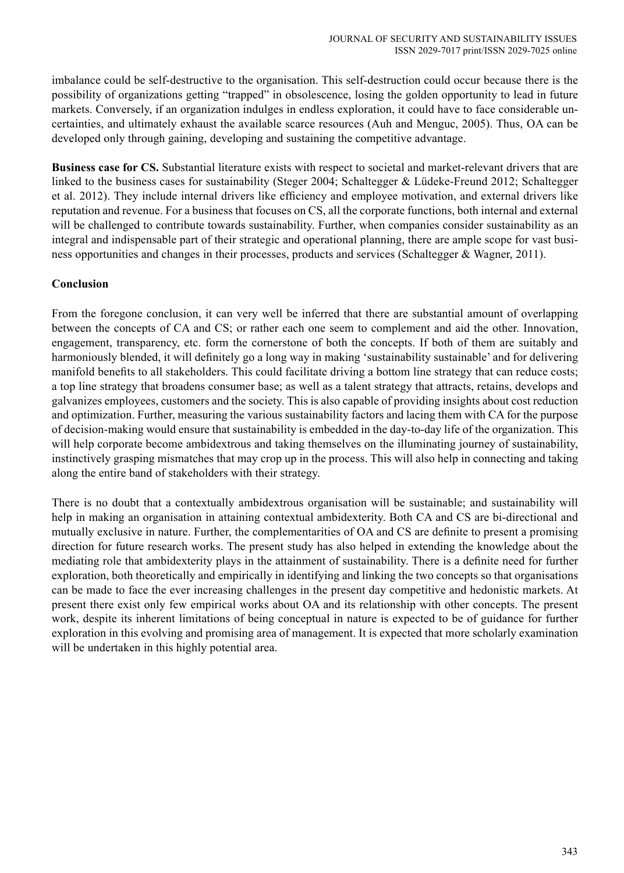imbalance could be self-destructive to the organisation. This self-destruction could occur because there is the possibility of organizations getting "trapped" in obsolescence, losing the golden opportunity to lead in future markets. Conversely, if an organization indulges in endless exploration, it could have to face considerable uncertainties, and ultimately exhaust the available scarce resources (Auh and Menguc, 2005). Thus, OA can be developed only through gaining, developing and sustaining the competitive advantage.

**Business case for CS.** Substantial literature exists with respect to societal and market-relevant drivers that are linked to the business cases for sustainability (Steger 2004; Schaltegger & Lüdeke-Freund 2012; Schaltegger et al. 2012). They include internal drivers like efficiency and employee motivation, and external drivers like reputation and revenue. For a business that focuses on CS, all the corporate functions, both internal and external will be challenged to contribute towards sustainability. Further, when companies consider sustainability as an integral and indispensable part of their strategic and operational planning, there are ample scope for vast business opportunities and changes in their processes, products and services (Schaltegger & Wagner, 2011).

### **Conclusion**

From the foregone conclusion, it can very well be inferred that there are substantial amount of overlapping between the concepts of CA and CS; or rather each one seem to complement and aid the other. Innovation, engagement, transparency, etc. form the cornerstone of both the concepts. If both of them are suitably and harmoniously blended, it will definitely go a long way in making 'sustainability sustainable' and for delivering manifold benefits to all stakeholders. This could facilitate driving a bottom line strategy that can reduce costs; a top line strategy that broadens consumer base; as well as a talent strategy that attracts, retains, develops and galvanizes employees, customers and the society. This is also capable of providing insights about cost reduction and optimization. Further, measuring the various sustainability factors and lacing them with CA for the purpose of decision-making would ensure that sustainability is embedded in the day-to-day life of the organization. This will help corporate become ambidextrous and taking themselves on the illuminating journey of sustainability, instinctively grasping mismatches that may crop up in the process. This will also help in connecting and taking along the entire band of stakeholders with their strategy.

There is no doubt that a contextually ambidextrous organisation will be sustainable; and sustainability will help in making an organisation in attaining contextual ambidexterity. Both CA and CS are bi-directional and mutually exclusive in nature. Further, the complementarities of OA and CS are definite to present a promising direction for future research works. The present study has also helped in extending the knowledge about the mediating role that ambidexterity plays in the attainment of sustainability. There is a definite need for further exploration, both theoretically and empirically in identifying and linking the two concepts so that organisations can be made to face the ever increasing challenges in the present day competitive and hedonistic markets. At present there exist only few empirical works about OA and its relationship with other concepts. The present work, despite its inherent limitations of being conceptual in nature is expected to be of guidance for further exploration in this evolving and promising area of management. It is expected that more scholarly examination will be undertaken in this highly potential area.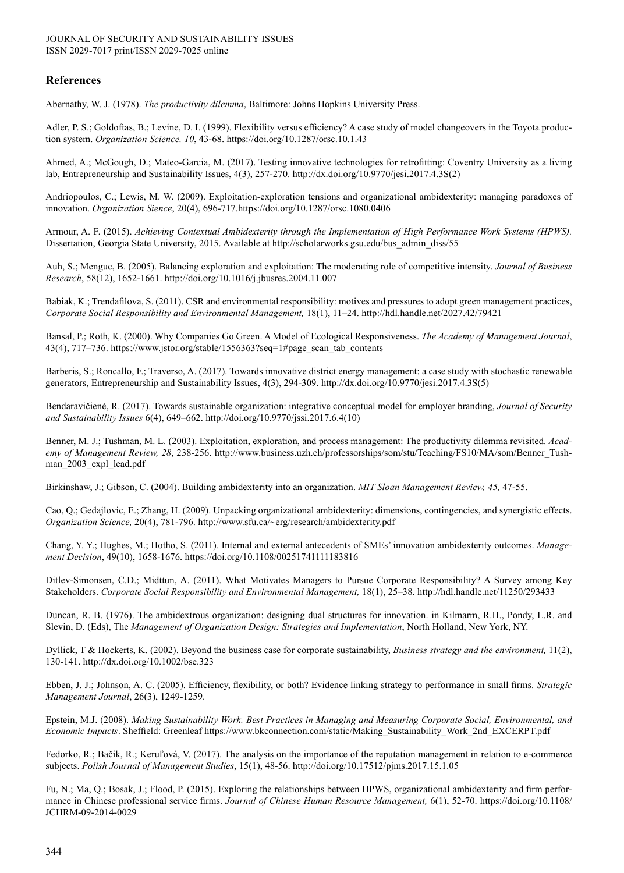### **References**

Abernathy, W. J. (1978). *The productivity dilemma*, Baltimore: Johns Hopkins University Press.

Adler, P. S.; Goldoftas, B.; Levine, D. I. (1999). Flexibility versus efficiency? A case study of model changeovers in the Toyota production system. *Organization Science, 10*, 43-68. https://doi.org/10.1287/orsc.10.1.43

Ahmed, A.; McGough, D.; Mateo-Garcia, M. (2017). Testing innovative technologies for retrofitting: Coventry University as a living lab, Entrepreneurship and Sustainability Issues, 4(3), 257-270. http://dx.doi.org/10.9770/jesi.2017.4.3S(2)

Andriopoulos, C.; Lewis, M. W. (2009). Exploitation-exploration tensions and organizational ambidexterity: managing paradoxes of innovation. *Organization Sience*, 20(4), 696-717.https://doi.org/10.1287/orsc.1080.0406

Armour, A. F. (2015). *Achieving Contextual Ambidexterity through the Implementation of High Performance Work Systems (HPWS).* Dissertation, Georgia State University, 2015. Available at http://scholarworks.gsu.edu/bus\_admin\_diss/55

Auh, S.; Menguc, B. (2005). Balancing exploration and exploitation: The moderating role of competitive intensity. *Journal of Business Research*, 58(12), 1652-1661. http://doi.org/10.1016/j.jbusres.2004.11.007

Babiak, K.; Trendafilova, S. (2011). CSR and environmental responsibility: motives and pressures to adopt green management practices, *Corporate Social Responsibility and Environmental Management,* 18(1), 11–24. http://hdl.handle.net/2027.42/79421

Bansal, P.; Roth, K. (2000). Why Companies Go Green. A Model of Ecological Responsiveness. *The Academy of Management Journal*, 43(4), 717–736. https://www.jstor.org/stable/1556363?seq=1#page\_scan\_tab\_contents

Barberis, S.; Roncallo, F.; Traverso, A. (2017). Towards innovative district energy management: a case study with stochastic renewable generators, Entrepreneurship and Sustainability Issues, 4(3), 294-309. http://dx.doi.org/10.9770/jesi.2017.4.3S(5)

Bendaravičienė, R. (2017). Towards sustainable organization: integrative conceptual model for employer branding, *Journal of Security and Sustainability Issues* 6(4), 649–662. http://doi.org/10.9770/jssi.2017.6.4(10)

Benner, M. J.; Tushman, M. L. (2003). Exploitation, exploration, and process management: The productivity dilemma revisited. *Academy of Management Review, 28*, 238-256. http://www.business.uzh.ch/professorships/som/stu/Teaching/FS10/MA/som/Benner\_Tushman 2003 expl lead.pdf

Birkinshaw, J.; Gibson, C. (2004). Building ambidexterity into an organization. *MIT Sloan Management Review, 45,* 47-55.

Cao, Q.; Gedajlovic, E.; Zhang, H. (2009). Unpacking organizational ambidexterity: dimensions, contingencies, and synergistic effects. *Organization Science,* 20(4), 781-796. http://www.sfu.ca/~erg/research/ambidexterity.pdf

Chang, Y. Y.; Hughes, M.; Hotho, S. (2011). Internal and external antecedents of SMEs' innovation ambidexterity outcomes. *Management Decision*, 49(10), 1658-1676. https://doi.org/10.1108/00251741111183816

Ditlev-Simonsen, C.D.; Midttun, A. (2011). What Motivates Managers to Pursue Corporate Responsibility? A Survey among Key Stakeholders. *Corporate Social Responsibility and Environmental Management,* 18(1), 25–38. http://hdl.handle.net/11250/293433

Duncan, R. B. (1976). The ambidextrous organization: designing dual structures for innovation. in Kilmarm, R.H., Pondy, L.R. and Slevin, D. (Eds), The *Management of Organization Design: Strategies and Implementation*, North Holland, New York, NY.

Dyllick, T & Hockerts, K. (2002). Beyond the business case for corporate sustainability, *Business strategy and the environment,* 11(2), 130-141. http://dx.doi.org/10.1002/bse.323

Ebben, J. J.; Johnson, A. C. (2005). Efficiency, flexibility, or both? Evidence linking strategy to performance in small firms. *Strategic Management Journal*, 26(3), 1249-1259.

Epstein, M.J. (2008). *Making Sustainability Work. Best Practices in Managing and Measuring Corporate Social, Environmental, and Economic Impacts*. Sheffield: Greenleaf https://www.bkconnection.com/static/Making\_Sustainability\_Work\_2nd\_EXCERPT.pdf

Fedorko, R.; Bačík, R.; Keruľová, V. (2017). The analysis on the importance of the reputation management in relation to e-commerce subjects. *Polish Journal of Management Studies*, 15(1), 48-56. http://doi.org/10.17512/pjms.2017.15.1.05

Fu, N.; Ma, Q.; Bosak, J.; Flood, P. (2015). Exploring the relationships between HPWS, organizational ambidexterity and firm performance in Chinese professional service firms. *Journal of Chinese Human Resource Management,* 6(1), 52-70. https://doi.org/10.1108/ JCHRM-09-2014-0029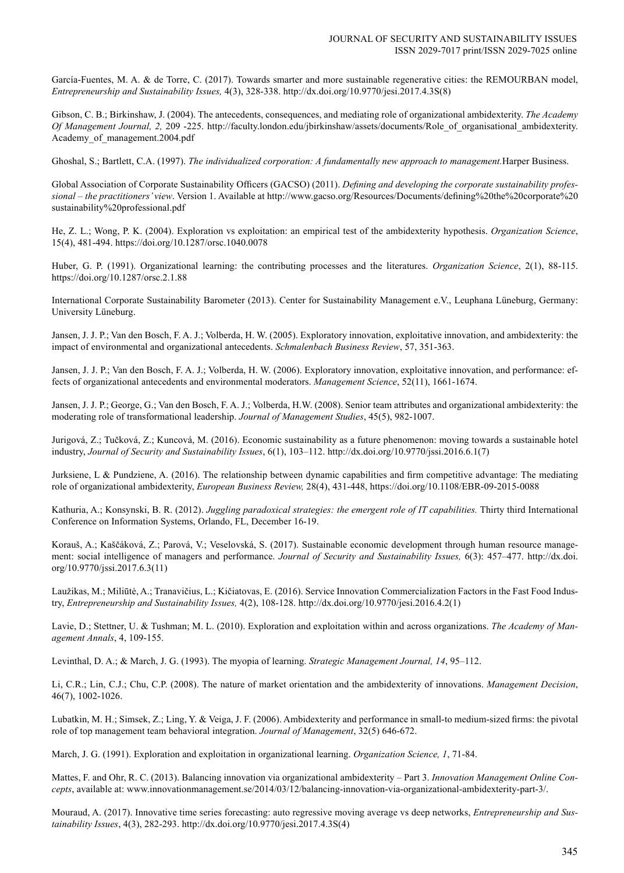García-Fuentes, M. A. & de Torre, C. (2017). Towards smarter and more sustainable regenerative cities: the REMOURBAN model, *Entrepreneurship and Sustainability Issues,* 4(3), 328-338. http://dx.doi.org/10.9770/jesi.2017.4.3S(8)

Gibson, C. B.; Birkinshaw, J. (2004). The antecedents, consequences, and mediating role of organizational ambidexterity. *The Academy Of Management Journal, 2,* 209 -225. http://faculty.london.edu/jbirkinshaw/assets/documents/Role\_of\_organisational\_ambidexterity. Academy of management.2004.pdf

Ghoshal, S.; Bartlett, C.A. (1997). *The individualized corporation: A fundamentally new approach to management.*Harper Business.

Global Association of Corporate Sustainability Officers (GACSO) (2011). *Defining and developing the corporate sustainability professional – the practitioners' view*. Version 1. Available at http://www.gacso.org/Resources/Documents/defining%20the%20corporate%20 sustainability%20professional.pdf

He, Z. L.; Wong, P. K. (2004). Exploration vs exploitation: an empirical test of the ambidexterity hypothesis. *Organization Science*, 15(4), 481-494. https://doi.org/10.1287/orsc.1040.0078

Huber, G. P. (1991). Organizational learning: the contributing processes and the literatures. *Organization Science*, 2(1), 88-115. https://doi.org/10.1287/orsc.2.1.88

International Corporate Sustainability Barometer (2013). Center for Sustainability Management e.V., Leuphana Lüneburg, Germany: University Lüneburg.

Jansen, J. J. P.; Van den Bosch, F. A. J.; Volberda, H. W. (2005). Exploratory innovation, exploitative innovation, and ambidexterity: the impact of environmental and organizational antecedents. *Schmalenbach Business Review*, 57, 351-363.

Jansen, J. J. P.; Van den Bosch, F. A. J.; Volberda, H. W. (2006). Exploratory innovation, exploitative innovation, and performance: effects of organizational antecedents and environmental moderators. *Management Science*, 52(11), 1661-1674.

Jansen, J. J. P.; George, G.; Van den Bosch, F. A. J.; Volberda, H.W. (2008). Senior team attributes and organizational ambidexterity: the moderating role of transformational leadership. *Journal of Management Studies*, 45(5), 982-1007.

Jurigová, Z.; Tučková, Z.; Kuncová, M. (2016). Economic sustainability as a future phenomenon: moving towards a sustainable hotel industry, *Journal of Security and Sustainability Issues*, 6(1), 103–112. http://dx.doi.org/10.9770/jssi.2016.6.1(7)

Jurksiene, L & Pundziene, A. (2016). The relationship between dynamic capabilities and firm competitive advantage: The mediating role of organizational ambidexterity, *European Business Review,* 28(4), 431-448, https://doi.org/10.1108/EBR-09-2015-0088

Kathuria, A.; Konsynski, B. R. (2012). *Juggling paradoxical strategies: the emergent role of IT capabilities.* Thirty third International Conference on Information Systems, Orlando, FL, December 16-19.

Korauš, A.; Kaščáková, Z.; Parová, V.; Veselovská, S. (2017). Sustainable economic development through human resource management: social intelligence of managers and performance. *Journal of Security and Sustainability Issues,* 6(3): 457–477. http://dx.doi. org/10.9770/jssi.2017.6.3(11)

Laužikas, M.; Miliūtė, A.; Tranavičius, L.; Kičiatovas, E. (2016). Service Innovation Commercialization Factors in the Fast Food Industry, *Entrepreneurship and Sustainability Issues,* 4(2), 108-128. http://dx.doi.org/10.9770/jesi.2016.4.2(1)

Lavie, D.; Stettner, U. & Tushman; M. L. (2010). Exploration and exploitation within and across organizations. *The Academy of Management Annals*, 4, 109-155.

Levinthal, D. A.; & March, J. G. (1993). The myopia of learning. *Strategic Management Journal, 14*, 95–112.

Li, C.R.; Lin, C.J.; Chu, C.P. (2008). The nature of market orientation and the ambidexterity of innovations. *Management Decision*, 46(7), 1002-1026.

Lubatkin, M. H.; Simsek, Z.; Ling, Y. & Veiga, J. F. (2006). Ambidexterity and performance in small-to medium-sized firms: the pivotal role of top management team behavioral integration. *Journal of Management*, 32(5) 646-672.

March, J. G. (1991). Exploration and exploitation in organizational learning. *Organization Science, 1*, 71-84.

Mattes, F. and Ohr, R. C. (2013). Balancing innovation via organizational ambidexterity – Part 3. *Innovation Management Online Concepts*, available at: www.innovationmanagement.se/2014/03/12/balancing-innovation-via-organizational-ambidexterity-part-3/.

Mouraud, A. (2017). Innovative time series forecasting: auto regressive moving average vs deep networks, *Entrepreneurship and Sustainability Issues*, 4(3), 282-293. http://dx.doi.org/10.9770/jesi.2017.4.3S(4)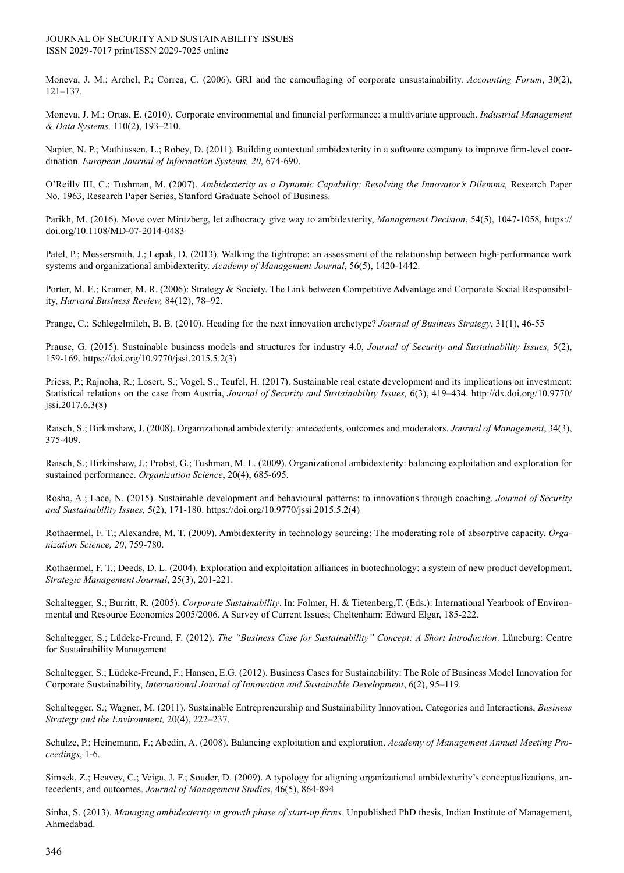Moneva, J. M.; Archel, P.; Correa, C. (2006). GRI and the camouflaging of corporate unsustainability. *Accounting Forum*, 30(2), 121–137.

Moneva, J. M.; Ortas, E. (2010). Corporate environmental and financial performance: a multivariate approach. *Industrial Management & Data Systems,* 110(2), 193–210.

Napier, N. P.; Mathiassen, L.; Robey, D. (2011). Building contextual ambidexterity in a software company to improve firm-level coordination. *European Journal of Information Systems, 20*, 674-690.

O'Reilly III, C.; Tushman, M. (2007). *Ambidexterity as a Dynamic Capability: Resolving the Innovator's Dilemma,* Research Paper No. 1963, Research Paper Series, Stanford Graduate School of Business.

Parikh, M. (2016). Move over Mintzberg, let adhocracy give way to ambidexterity, *Management Decision*, 54(5), 1047-1058, https:// doi.org/10.1108/MD-07-2014-0483

Patel, P.; Messersmith, J.; Lepak, D. (2013). Walking the tightrope: an assessment of the relationship between high-performance work systems and organizational ambidexterity. *Academy of Management Journal*, 56(5), 1420-1442.

Porter, M. E.; Kramer, M. R. (2006): Strategy & Society. The Link between Competitive Advantage and Corporate Social Responsibility, *Harvard Business Review,* 84(12), 78–92.

Prange, C.; Schlegelmilch, B. B. (2010). Heading for the next innovation archetype? *Journal of Business Strategy*, 31(1), 46-55

Prause, G. (2015). Sustainable business models and structures for industry 4.0, *Journal of Security and Sustainability Issues,* 5(2), 159-169. https://doi.org/10.9770/jssi.2015.5.2(3)

Priess, P.; Rajnoha, R.; Losert, S.; Vogel, S.; Teufel, H. (2017). Sustainable real estate development and its implications on investment: Statistical relations on the case from Austria, *Journal of Security and Sustainability Issues,* 6(3), 419–434. http://dx.doi.org/10.9770/ jssi.2017.6.3(8)

Raisch, S.; Birkinshaw, J. (2008). Organizational ambidexterity: antecedents, outcomes and moderators. *Journal of Management*, 34(3), 375-409.

Raisch, S.; Birkinshaw, J.; Probst, G.; Tushman, M. L. (2009). Organizational ambidexterity: balancing exploitation and exploration for sustained performance. *Organization Science*, 20(4), 685-695.

Rosha, A.; Lace, N. (2015). Sustainable development and behavioural patterns: to innovations through coaching. *Journal of Security and Sustainability Issues,* 5(2), 171-180. https://doi.org/10.9770/jssi.2015.5.2(4)

Rothaermel, F. T.; Alexandre, M. T. (2009). Ambidexterity in technology sourcing: The moderating role of absorptive capacity. *Organization Science, 20*, 759-780.

Rothaermel, F. T.; Deeds, D. L. (2004). Exploration and exploitation alliances in biotechnology: a system of new product development. *Strategic Management Journal*, 25(3), 201-221.

Schaltegger, S.; Burritt, R. (2005). *Corporate Sustainability*. In: Folmer, H. & Tietenberg,T. (Eds.): International Yearbook of Environmental and Resource Economics 2005/2006. A Survey of Current Issues; Cheltenham: Edward Elgar, 185-222.

Schaltegger, S.; Lüdeke-Freund, F. (2012). *The "Business Case for Sustainability" Concept: A Short Introduction*. Lüneburg: Centre for Sustainability Management

Schaltegger, S.; Lüdeke-Freund, F.; Hansen, E.G. (2012). Business Cases for Sustainability: The Role of Business Model Innovation for Corporate Sustainability, *International Journal of Innovation and Sustainable Development*, 6(2), 95–119.

Schaltegger, S.; Wagner, M. (2011). Sustainable Entrepreneurship and Sustainability Innovation. Categories and Interactions, *Business Strategy and the Environment,* 20(4), 222–237.

Schulze, P.; Heinemann, F.; Abedin, A. (2008). Balancing exploitation and exploration. *Academy of Management Annual Meeting Proceedings*, 1-6.

Simsek, Z.; Heavey, C.; Veiga, J. F.; Souder, D. (2009). A typology for aligning organizational ambidexterity's conceptualizations, antecedents, and outcomes. *Journal of Management Studies*, 46(5), 864-894

Sinha, S. (2013). *Managing ambidexterity in growth phase of start-up firms.* Unpublished PhD thesis, Indian Institute of Management, Ahmedabad.